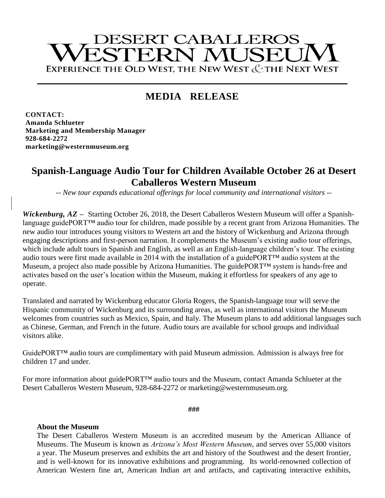# **DESERT CABALLEROS** ESTERN MUSEU EXPERIENCE THE OLD WEST, THE NEW WEST & THE NEXT WEST

## **MEDIA RELEASE**

**CONTACT: Amanda Schlueter Marketing and Membership Manager 928-684-2272 marketing@westernmuseum.org**

### **Spanish-Language Audio Tour for Children Available October 26 at Desert Caballeros Western Museum**

*-- New tour expands educational offerings for local community and international visitors --*

*Wickenburg, AZ* **–** Starting October 26, 2018, the Desert Caballeros Western Museum will offer a Spanishlanguage guidePORT™ audio tour for children, made possible by a recent grant from Arizona Humanities. The new audio tour introduces young visitors to Western art and the history of Wickenburg and Arizona through engaging descriptions and first-person narration. It complements the Museum's existing audio tour offerings, which include adult tours in Spanish and English, as well as an English-language children's tour. The existing audio tours were first made available in 2014 with the installation of a guidePORT™ audio system at the Museum, a project also made possible by Arizona Humanities. The guidePORT™ system is hands-free and activates based on the user's location within the Museum, making it effortless for speakers of any age to operate.

Translated and narrated by Wickenburg educator Gloria Rogers, the Spanish-language tour will serve the Hispanic community of Wickenburg and its surrounding areas, as well as international visitors the Museum welcomes from countries such as Mexico, Spain, and Italy. The Museum plans to add additional languages such as Chinese, German, and French in the future. Audio tours are available for school groups and individual visitors alike.

GuidePORT™ audio tours are complimentary with paid Museum admission. Admission is always free for children 17 and under.

For more information about guidePORT™ audio tours and the Museum, contact Amanda Schlueter at the Desert Caballeros Western Museum, 928-684-2272 or marketing@westernmuseum.org.

**###**

#### **About the Museum**

The Desert Caballeros Western Museum is an accredited museum by the American Alliance of Museums. The Museum is known as *Arizona's Most Western Museum*, and serves over 55,000 visitors a year. The Museum preserves and exhibits the art and history of the Southwest and the desert frontier, and is well-known for its innovative exhibitions and programming. Its world-renowned collection of American Western fine art, American Indian art and artifacts, and captivating interactive exhibits,